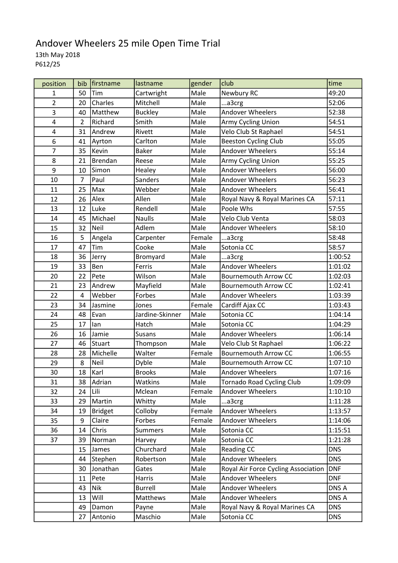## Andover Wheelers 25 mile Open Time Trial 13th May 2018 P612/25

| position       | bib            | <i><u><b>Ifirstname</b></u></i> | lastname        | gender | club                                | time       |
|----------------|----------------|---------------------------------|-----------------|--------|-------------------------------------|------------|
| $\mathbf{1}$   | 50             | Tim                             | Cartwright      | Male   | Newbury RC                          | 49:20      |
| $\overline{2}$ | 20             | Charles                         | Mitchell        | Male   | a3crg                               | 52:06      |
| 3              | 40             | Matthew                         | <b>Buckley</b>  | Male   | Andover Wheelers                    | 52:38      |
| 4              | $\overline{2}$ | Richard                         | Smith           | Male   | Army Cycling Union                  | 54:51      |
| 4              | 31             | Andrew                          | Rivett          | Male   | Velo Club St Raphael                | 54:51      |
| 6              | 41             | Ayrton                          | Carlton         | Male   | <b>Beeston Cycling Club</b>         | 55:05      |
| $\overline{7}$ | 35             | Kevin                           | <b>Baker</b>    | Male   | <b>Andover Wheelers</b>             | 55:14      |
| 8              | 21             | <b>Brendan</b>                  | Reese           | Male   | Army Cycling Union                  | 55:25      |
| 9              | 10             | Simon                           | Healey          | Male   | <b>Andover Wheelers</b>             | 56:00      |
| 10             | 7              | Paul                            | <b>Sanders</b>  | Male   | <b>Andover Wheelers</b>             | 56:23      |
| 11             | 25             | Max                             | Webber          | Male   | Andover Wheelers                    | 56:41      |
| 12             | 26             | Alex                            | Allen           | Male   | Royal Navy & Royal Marines CA       | 57:11      |
| 13             | 12             | Luke                            | Rendell         | Male   | Poole Whs                           | 57:55      |
| 14             | 45             | Michael                         | <b>Naulls</b>   | Male   | Velo Club Venta                     | 58:03      |
| 15             | 32             | Neil                            | Adlem           | Male   | <b>Andover Wheelers</b>             | 58:10      |
| 16             | 5              | Angela                          | Carpenter       | Female | a3crg                               | 58:48      |
| 17             | 47             | Tim                             | Cooke           | Male   | Sotonia CC                          | 58:57      |
| 18             | 36             | Jerry                           | Bromyard        | Male   | a3crg                               | 1:00:52    |
| 19             | 33             | Ben                             | Ferris          | Male   | Andover Wheelers                    | 1:01:02    |
| 20             | 22             | Pete                            | Wilson          | Male   | <b>Bournemouth Arrow CC</b>         | 1:02:03    |
| 21             | 23             | Andrew                          | Mayfield        | Male   | <b>Bournemouth Arrow CC</b>         | 1:02:41    |
| 22             | $\overline{4}$ | Webber                          | Forbes          | Male   | <b>Andover Wheelers</b>             | 1:03:39    |
| 23             | 34             | Jasmine                         | Jones           | Female | Cardiff Ajax CC                     | 1:03:43    |
| 24             | 48             | Evan                            | Jardine-Skinner | Male   | Sotonia CC                          | 1:04:14    |
| 25             | 17             | lan                             | Hatch           | Male   | Sotonia CC                          | 1:04:29    |
| 26             | 16             | Jamie                           | <b>Susans</b>   | Male   | <b>Andover Wheelers</b>             | 1:06:14    |
| 27             | 46             | Stuart                          | Thompson        | Male   | Velo Club St Raphael                | 1:06:22    |
| 28             | 28             | Michelle                        | Walter          | Female | <b>Bournemouth Arrow CC</b>         | 1:06:55    |
| 29             | 8              | Neil                            | Dyble           | Male   | <b>Bournemouth Arrow CC</b>         | 1:07:10    |
| 30             | 18             | Karl                            | <b>Brooks</b>   | Male   | <b>Andover Wheelers</b>             | 1:07:16    |
| 31             | 38             | Adrian                          | Watkins         | Male   | <b>Tornado Road Cycling Club</b>    | 1:09:09    |
| 32             | 24             | Lili                            | Mclean          | Female | Andover Wheelers                    | 1:10:10    |
| 33             | 29             | Martin                          | Whitty          | Male   | a3crg                               | 1:11:28    |
| 34             | 19             | <b>Bridget</b>                  | Colloby         | Female | Andover Wheelers                    | 1:13:57    |
| 35             | 9              | Claire                          | Forbes          | Female | <b>Andover Wheelers</b>             | 1:14:06    |
| 36             | 14             | Chris                           | <b>Summers</b>  | Male   | Sotonia CC                          | 1:15:51    |
| 37             | 39             | Norman                          | Harvey          | Male   | Sotonia CC                          | 1:21:28    |
|                | 15             | James                           | Churchard       | Male   | Reading CC                          | <b>DNS</b> |
|                | 44             | Stephen                         | Robertson       | Male   | Andover Wheelers                    | <b>DNS</b> |
|                | 30             | Jonathan                        | Gates           | Male   | Royal Air Force Cycling Association | <b>DNF</b> |
|                | 11             | Pete                            | Harris          | Male   | Andover Wheelers                    | <b>DNF</b> |
|                | 43             | Nik                             | <b>Burrell</b>  | Male   | Andover Wheelers                    | DNS A      |
|                | 13             | Will                            | Matthews        | Male   | Andover Wheelers                    | DNS A      |
|                | 49             | Damon                           | Payne           | Male   | Royal Navy & Royal Marines CA       | <b>DNS</b> |
|                | 27             | Antonio                         | Maschio         | Male   | Sotonia CC                          | <b>DNS</b> |